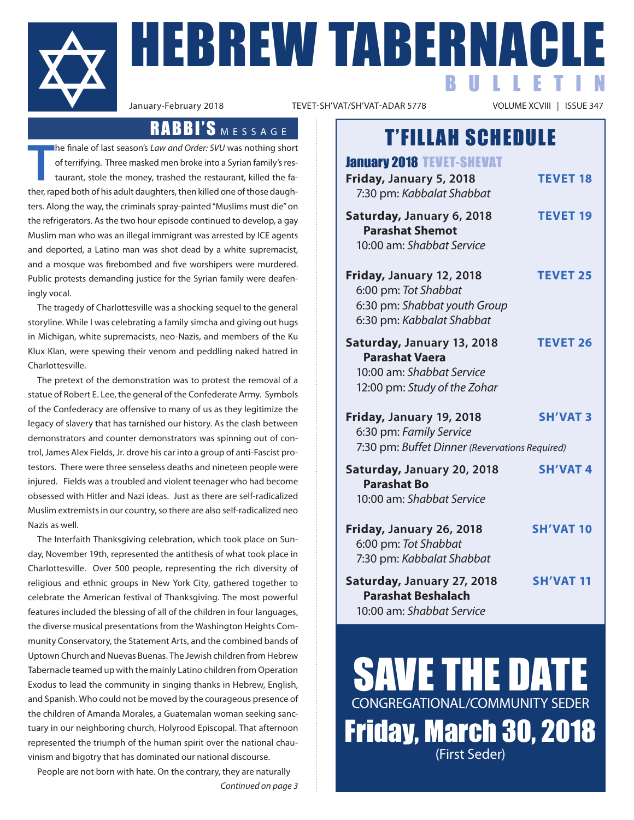

**FIEBREW TABERNACLE** BULLETIN

TEVET-SH'VAT/SH'VAT-ADAR 5778

## RABBI'S MESSAGE

**T** he finale of last season's *Law and Order: SVU* was nothing short of terrifying. Three masked men broke into a Syrian family's restaurant, stole the money, trashed the restaurant, killed the father, raped both of his adult daughters, then killed one of those daughters. Along the way, the criminals spray-painted "Muslims must die" on the refrigerators. As the two hour episode continued to develop, a gay Muslim man who was an illegal immigrant was arrested by ICE agents and deported, a Latino man was shot dead by a white supremacist, and a mosque was firebombed and five worshipers were murdered. Public protests demanding justice for the Syrian family were deafeningly vocal.

The tragedy of Charlottesville was a shocking sequel to the general storyline. While I was celebrating a family simcha and giving out hugs in Michigan, white supremacists, neo-Nazis, and members of the Ku Klux Klan, were spewing their venom and peddling naked hatred in Charlottesville.

The pretext of the demonstration was to protest the removal of a statue of Robert E. Lee, the general of the Confederate Army. Symbols of the Confederacy are offensive to many of us as they legitimize the legacy of slavery that has tarnished our history. As the clash between demonstrators and counter demonstrators was spinning out of control, James Alex Fields, Jr. drove his car into a group of anti-Fascist protestors. There were three senseless deaths and nineteen people were injured. Fields was a troubled and violent teenager who had become obsessed with Hitler and Nazi ideas. Just as there are self-radicalized Muslim extremists in our country, so there are also self-radicalized neo Nazis as well.

The Interfaith Thanksgiving celebration, which took place on Sunday, November 19th, represented the antithesis of what took place in Charlottesville. Over 500 people, representing the rich diversity of religious and ethnic groups in New York City, gathered together to celebrate the American festival of Thanksgiving. The most powerful features included the blessing of all of the children in four languages, the diverse musical presentations from the Washington Heights Community Conservatory, the Statement Arts, and the combined bands of Uptown Church and Nuevas Buenas. The Jewish children from Hebrew Tabernacle teamed up with the mainly Latino children from Operation Exodus to lead the community in singing thanks in Hebrew, English, and Spanish. Who could not be moved by the courageous presence of the children of Amanda Morales, a Guatemalan woman seeking sanctuary in our neighboring church, Holyrood Episcopal. That afternoon represented the triumph of the human spirit over the national chauvinism and bigotry that has dominated our national discourse.

People are not born with hate. On the contrary, they are naturally *Continued on page 3*

# T'FILLAH SCHEDULE

| <b>January 2018 TEVET-SHEVAT</b><br>Friday, January 5, 2018<br>7:30 pm: Kabbalat Shabbat                         | <b>TEVET 18</b>  |
|------------------------------------------------------------------------------------------------------------------|------------------|
| Saturday, January 6, 2018<br><b>Parashat Shemot</b><br>10:00 am: Shabbat Service                                 | <b>TEVET 19</b>  |
| Friday, January 12, 2018<br>6:00 pm: Tot Shabbat<br>6:30 pm: Shabbat youth Group<br>6:30 pm: Kabbalat Shabbat    | <b>TEVET 25</b>  |
| Saturday, January 13, 2018<br><b>Parashat Vaera</b><br>10:00 am: Shabbat Service<br>12:00 pm: Study of the Zohar | <b>TEVET 26</b>  |
| Friday, January 19, 2018<br>6:30 pm: Family Service<br>7:30 pm: Buffet Dinner (Revervations Required)            | <b>SH'VAT 3</b>  |
| Saturday, January 20, 2018<br><b>Parashat Bo</b><br>10:00 am: Shabbat Service                                    | <b>SH'VAT 4</b>  |
| Friday, January 26, 2018<br>6:00 pm: Tot Shabbat<br>7:30 pm: Kabbalat Shabbat                                    | <b>SH'VAT 10</b> |
| Saturday, January 27, 2018<br><b>Parashat Beshalach</b><br>10:00 am: Shabbat Service                             | <b>SH'VAT 11</b> |

SAVE THE DATE CONGREGATIONAL/COMMUNITY SEDER Friday, March 30, 2018 (First Seder)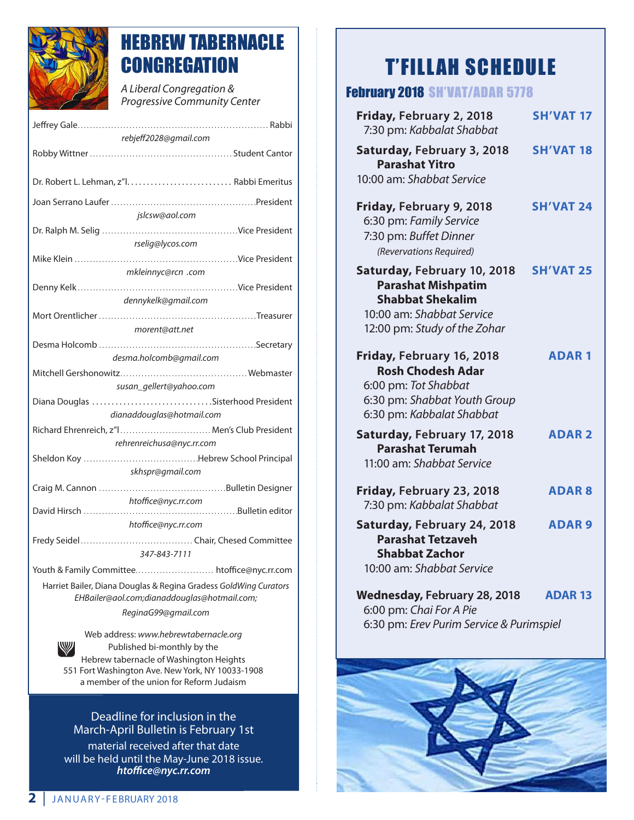

# HEBREW TABERNACLE **CONGREGATION**

*A Liberal Congregation & Progressive Community Center* 

| rebjeff2028@gmail.com                                                                                           |  |  |
|-----------------------------------------------------------------------------------------------------------------|--|--|
|                                                                                                                 |  |  |
|                                                                                                                 |  |  |
|                                                                                                                 |  |  |
| jslcsw@aol.com                                                                                                  |  |  |
|                                                                                                                 |  |  |
| rselig@lycos.com                                                                                                |  |  |
|                                                                                                                 |  |  |
| mkleinnyc@rcn .com                                                                                              |  |  |
|                                                                                                                 |  |  |
| dennykelk@gmail.com                                                                                             |  |  |
|                                                                                                                 |  |  |
| morent@att.net                                                                                                  |  |  |
|                                                                                                                 |  |  |
| desma.holcomb@gmail.com                                                                                         |  |  |
|                                                                                                                 |  |  |
| susan_gellert@yahoo.com                                                                                         |  |  |
| Diana Douglas Sisterhood President                                                                              |  |  |
| dianaddouglas@hotmail.com                                                                                       |  |  |
| Richard Ehrenreich, z"I Men's Club President                                                                    |  |  |
| rehrenreichusa@nyc.rr.com                                                                                       |  |  |
|                                                                                                                 |  |  |
| skhspr@gmail.com                                                                                                |  |  |
|                                                                                                                 |  |  |
| htoffice@nyc.rr.com                                                                                             |  |  |
| htoffice@nyc.rr.com                                                                                             |  |  |
|                                                                                                                 |  |  |
| 347-843-7111                                                                                                    |  |  |
|                                                                                                                 |  |  |
| Harriet Bailer, Diana Douglas & Regina Gradess GoldWing Curators<br>EHBailer@aol.com;dianaddouglas@hotmail.com; |  |  |
| ReginaG99@gmail.com                                                                                             |  |  |
|                                                                                                                 |  |  |

Web address: *www.hebrewtabernacle.org* Published bi-monthly by the Hebrew tabernacle of Washington Heights 551 Fort Washington Ave. New York, NY 10033-1908 a member of the union for Reform Judaism

Deadline for inclusion in the March-April Bulletin is February 1st material received after that date will be held until the May-June 2018 issue. *htoffice@nyc.rr.com*

# T'FILLAH SCHEDULE

|  | <b>February 2018 SH'VAT/ADAR 5778</b> |
|--|---------------------------------------|
|--|---------------------------------------|

| Friday, February 2, 2018<br>7:30 pm: Kabbalat Shabbat                                                                                            | <b>SH'VAT 17</b> |
|--------------------------------------------------------------------------------------------------------------------------------------------------|------------------|
| Saturday, February 3, 2018<br><b>Parashat Yitro</b><br>10:00 am: Shabbat Service                                                                 | <b>SH'VAT 18</b> |
| Friday, February 9, 2018<br>6:30 pm: Family Service<br>7:30 pm: Buffet Dinner<br>(Revervations Required)                                         | <b>SH'VAT 24</b> |
| Saturday, February 10, 2018<br><b>Parashat Mishpatim</b><br><b>Shabbat Shekalim</b><br>10:00 am: Shabbat Service<br>12:00 pm: Study of the Zohar | <b>SH'VAT 25</b> |
| Friday, February 16, 2018<br><b>Rosh Chodesh Adar</b><br>6:00 pm: Tot Shabbat<br>6:30 pm: Shabbat Youth Group<br>6:30 pm: Kabbalat Shabbat       | <b>ADAR1</b>     |
| Saturday, February 17, 2018<br><b>Parashat Terumah</b><br>11:00 am: Shabbat Service                                                              | <b>ADAR2</b>     |
| Friday, February 23, 2018<br>7:30 pm: Kabbalat Shabbat                                                                                           | <b>ADAR8</b>     |
| Saturday, February 24, 2018<br><b>Parashat Tetzaveh</b><br><b>Shabbat Zachor</b><br>10:00 am: Shabbat Service                                    | <b>ADAR9</b>     |
| <b>Wednesday, February 28, 2018</b><br>6:00 pm: Chai For A Pie<br>6:30 pm: Erev Purim Service & Purimspiel                                       | <b>ADAR 13</b>   |

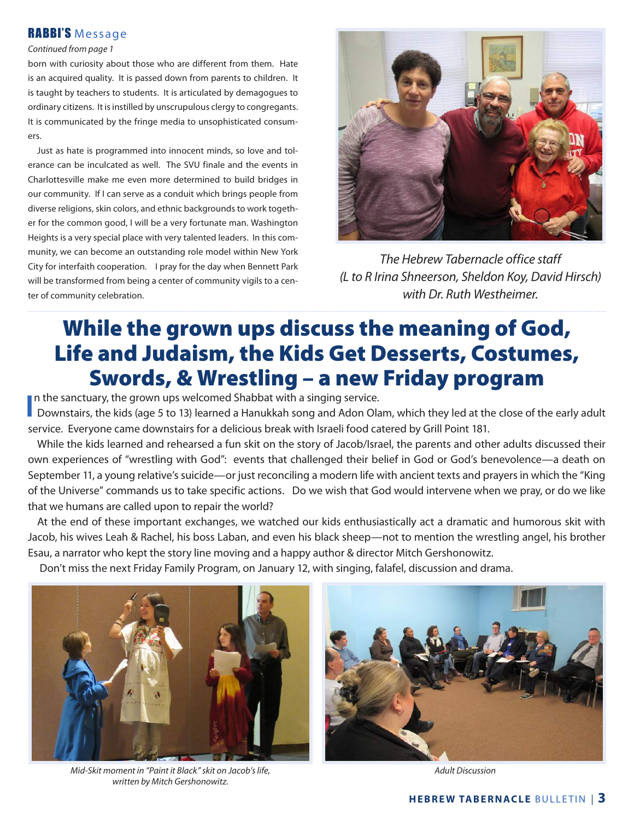#### RABBI'S Message

#### *Continued from page 1*

born with curiosity about those who are different from them. Hate is an acquired quality. It is passed down from parents to children. It is taught by teachers to students. It is articulated by demagogues to ordinary citizens. It is instilled by unscrupulous clergy to congregants. It is communicated by the fringe media to unsophisticated consumers.

Just as hate is programmed into innocent minds, so love and tolerance can be inculcated as well. The SVU finale and the events in Charlottesville make me even more determined to build bridges in our community. If I can serve as a conduit which brings people from diverse religions, skin colors, and ethnic backgrounds to work together for the common good, I will be a very fortunate man. Washington Heights is a very special place with very talented leaders. In this community, we can become an outstanding role model within New York City for interfaith cooperation. I pray for the day when Bennett Park will be transformed from being a center of community vigils to a center of community celebration.



*The Hebrew Tabernacle office staff (L to R Irina Shneerson, Sheldon Koy, David Hirsch) with Dr. Ruth Westheimer.*

# While the grown ups discuss the meaning of God, Life and Judaism, the Kids Get Desserts, Costumes, Swords, & Wrestling – a new Friday program

In the sanctuary, the grown ups welcomed Shabbat with a singing service.

In the sanctuary, the grown ups welcomed Shabbat with a singing service.<br>Downstairs, the kids (age 5 to 13) learned a Hanukkah song and Adon Olam, which they led at the close of the early adult service. Everyone came downstairs for a delicious break with Israeli food catered by Grill Point 181.

While the kids learned and rehearsed a fun skit on the story of Jacob/Israel, the parents and other adults discussed their own experiences of "wrestling with God": events that challenged their belief in God or God's benevolence—a death on September 11, a young relative's suicide—or just reconciling a modern life with ancient texts and prayers in which the "King of the Universe" commands us to take specific actions. Do we wish that God would intervene when we pray, or do we like that we humans are called upon to repair the world?

At the end of these important exchanges, we watched our kids enthusiastically act a dramatic and humorous skit with Jacob, his wives Leah & Rachel, his boss Laban, and even his black sheep—not to mention the wrestling angel, his brother Esau, a narrator who kept the story line moving and a happy author & director Mitch Gershonowitz.

Don't miss the next Friday Family Program, on January 12, with singing, falafel, discussion and drama.



*Mid-Skit moment in "Paint it Black" skit on Jacob's life, written by Mitch Gershonowitz.*



*Adult Discussion*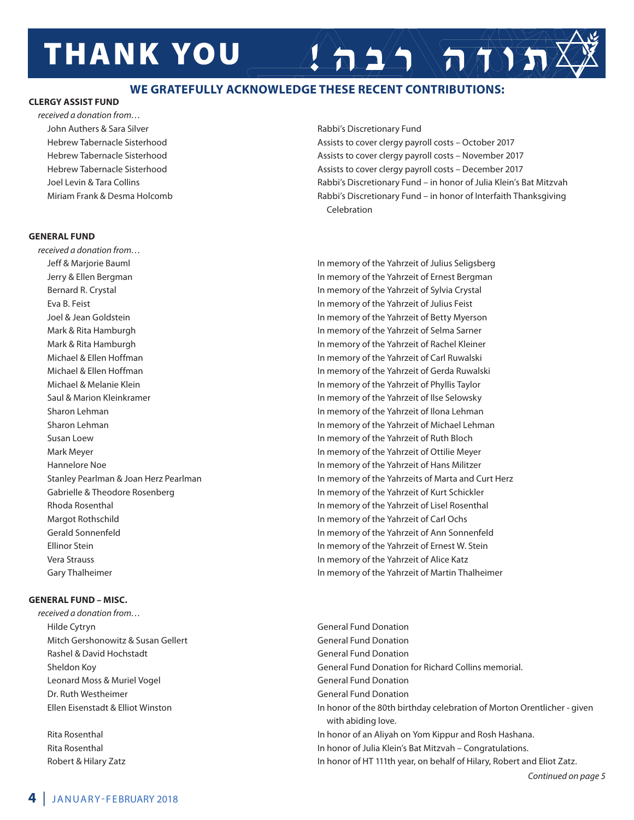# **THANK YOU**

#### **WE GRATEFULLY ACKNOWLEDGE THESE RECENT CONTRIBUTIONS:**

#### **CLERGY ASSIST FUND**

*received a donation from…* John Authers & Sara Silver **Rabbi's Discretionary Fund** 

#### **GENERAL FUND**

*received a donation from…* Margot Rothschild In memory of the Yahrzeit of Carl Ochs Vera Strauss In memory of the Yahrzeit of Alice Katz

#### **GENERAL FUND – MISC.**

*received a donation from…* Hilde Cytryn General Fund Donation Mitch Gershonowitz & Susan Gellert General Fund Donation Rashel & David Hochstadt General Fund Donation Leonard Moss & Muriel Vogel **General Fund Donation** General Fund Donation Dr. Ruth Westheimer General Fund Donation

 Hebrew Tabernacle Sisterhood Assists to cover clergy payroll costs – October 2017 Hebrew Tabernacle Sisterhood **Assists to cover clergy payroll costs – November 2017** Assists to cover clergy payroll costs – November 2017 Hebrew Tabernacle Sisterhood **Assists to cover clergy payroll costs – December 2017** Assists to cover clergy payroll costs – December 2017 Joel Levin & Tara Collins Rabbi's Discretionary Fund – in honor of Julia Klein's Bat Mitzvah Miriam Frank & Desma Holcomb **Rabbi's Discretionary Fund – in honor of Interfaith Thanksgiving** Celebration

 $\left( \left. \frac{1}{n} \Delta \right) \left( \frac{1}{n} \Delta \right)$ 

 Jeff & Marjorie Bauml In memory of the Yahrzeit of Julius Seligsberg Jerry & Ellen Bergman In memory of the Yahrzeit of Ernest Bergman Bernard R. Crystal **In memory of the Yahrzeit of Sylvia Crystal** In memory of the Yahrzeit of Sylvia Crystal Eva B. Feist In memory of the Yahrzeit of Julius Feist Joel & Jean Goldstein In memory of the Yahrzeit of Betty Myerson Mark & Rita Hamburgh **In memory of the Yahrzeit of Selma Sarner** Mark & Rita Hamburgh **In memory of the Yahrzeit of Rachel Kleiner** In memory of the Yahrzeit of Rachel Kleiner Michael & Ellen Hoffman In memory of the Yahrzeit of Carl Ruwalski Michael & Ellen Hoffman In memory of the Yahrzeit of Gerda Ruwalski Michael & Melanie Klein In memory of the Yahrzeit of Phyllis Taylor Saul & Marion Kleinkramer **In memory of the Yahrzeit of Ilse Selowsky** and Marion Memory of the Yahrzeit of Ilse Selowsky Sharon Lehman **In memory of the Yahrzeit of Ilona Lehman** In memory of the Yahrzeit of Ilona Lehman Sharon Lehman **In the United States and Table 2018** In memory of the Yahrzeit of Michael Lehman Susan Loew In memory of the Yahrzeit of Ruth Bloch Mark Meyer In memory of the Yahrzeit of Ottilie Meyer Hannelore Noe **In memory of the Yahrzeit of Hans Militzer** In memory of the Yahrzeit of Hans Militzer Stanley Pearlman & Joan Herz Pearlman In Marta 1990 Stanley Pearlman Burt Herz Gabrielle & Theodore Rosenberg In memory of the Yahrzeit of Kurt Schickler Rhoda Rosenthal In memory of the Yahrzeit of Lisel Rosenthal Gerald Sonnenfeld In memory of the Yahrzeit of Ann Sonnenfeld Ellinor Stein In memory of the Yahrzeit of Ernest W. Stein Gary Thalheimer **In memory of the Yahrzeit of Martin Thalheimer** In memory of the Yahrzeit of Martin Thalheimer

 Sheldon Koy General Fund Donation for Richard Collins memorial. Ellen Eisenstadt & Elliot Winston In honor of the 80th birthday celebration of Morton Orentlicher - given with abiding love. Rita Rosenthal **In honor of an Aliyah on Yom Kippur and Rosh Hashana.** In honor of an Aliyah on Yom Kippur and Rosh Hashana. Rita Rosenthal **In the Incident Congratulations**. In honor of Julia Klein's Bat Mitzvah – Congratulations. Robert & Hilary Zatz **In honor of HT 111th year, on behalf of Hilary, Robert and Eliot Zatz.**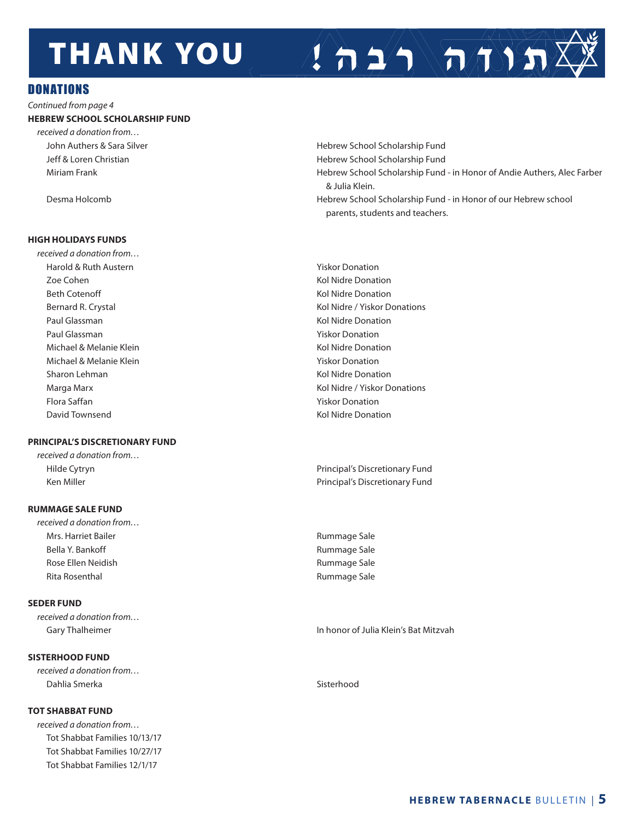# **THANK YOU**

#### **DONATIONS**

*Continued from page 4* **HEBREW SCHOOL SCHOLARSHIP FUND**

*received a donation from…*

#### **HIGH HOLIDAYS FUNDS**

*received a donation from…*  Harold & Ruth Austern **Yiskor Donation** Zoe Cohen Kol Nidre Donation Beth Cotenoff Kol Nidre Donation Paul Glassman North Communication and Communication and Communication and Communication Accounts North Accounts Paul Glassman New Yiskor Donation Michael & Melanie Klein Kolley Kol Nidre Donation Michael & Melanie Klein Yiskor Donation Nichael & Melanie Klein Yiskor Donation Sharon Lehman Kol Nidre Donation Flora Saffan Yiskor Donation David Townsend Kol Nidre Donation

#### **PRINCIPAL'S DISCRETIONARY FUND**

*received a donation from…*

#### **RUMMAGE SALE FUND**

*received a donation from…*  Mrs. Harriet Bailer **Rummage Sale** Bella Y. Bankoff **Rummage Sale** Rose Ellen Neidish **Rummage Sale** Rita Rosenthal **Rummage Sale** 

#### **SEDER FUND**

*received a donation from…*

#### **SISTERHOOD FUND**

*received a donation from…*  Dahlia Smerka Sistem Sistem Sistem Sistem Sistem Sistem Sistem Sistem Sistem Sistem Sistem Sistem Sistem Sistem Sistem Sistem Sistem Sistem Sistem Sistem Sistem Sistem Sistem Sistem Sistem Sistem Sistem Sistem Sistem Siste

#### **TOT SHABBAT FUND**

*received a donation from…*  Tot Shabbat Families 10/13/17 Tot Shabbat Families 10/27/17 Tot Shabbat Families 12/1/17

John Authers & Sara Silver **Hebrew School Scholarship Fund** Jeff & Loren Christian **Hebrew School Scholarship Fund**  Miriam Frank Hebrew School Scholarship Fund - in Honor of Andie Authers, Alec Farber & Julia Klein. Desma Holcomb Hebrew School Scholarship Fund - in Honor of our Hebrew school parents, students and teachers.

 $\sum_{i=1}^n \sqrt{n_i}$ 

Bernard R. Crystal **Kollars Communist Communist Communist Communist Communist Communist Communist Communist Communist Communist Communist Communist Communist Communist Communist Communist Communist Communist Communist Comm** Marga Marx Kol Nidre / Yiskor Donations

 Hilde Cytryn Principal's Discretionary Fund Ken Miller **Nights and Strutter Principal's Discretionary Fund** 

Gary Thalheimer **In honor of Julia Klein's Bat Mitzvah**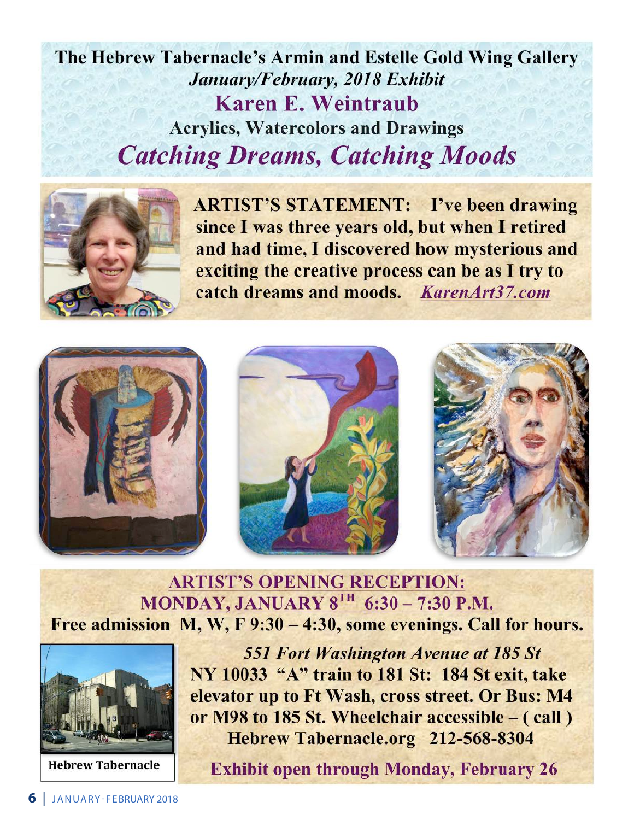# The Hebrew Tabernacle's Armin and Estelle Gold Wing Gallery January/February, 2018 Exhibit **Karen E. Weintraub Acrylics, Watercolors and Drawings Catching Dreams, Catching Moods**



**ARTIST'S STATEMENT:** I've been drawing since I was three years old, but when I retired and had time, I discovered how mysterious and exciting the creative process can be as I try to catch dreams and moods. KarenArt37.com







## **ARTIST'S OPENING RECEPTION:** MONDAY, JANUARY  $8^{TH}$  6:30 - 7:30 P.M. Free admission M, W, F 9:30 - 4:30, some evenings. Call for hours.



**Hebrew Tabernacle** 

**551 Fort Washington Avenue at 185 St** NY 10033 "A" train to 181 St: 184 St exit, take elevator up to Ft Wash, cross street. Or Bus: M4 or M98 to 185 St. Wheelchair accessible – (call) Hebrew Tabernacle.org 212-568-8304

**Exhibit open through Monday, February 26**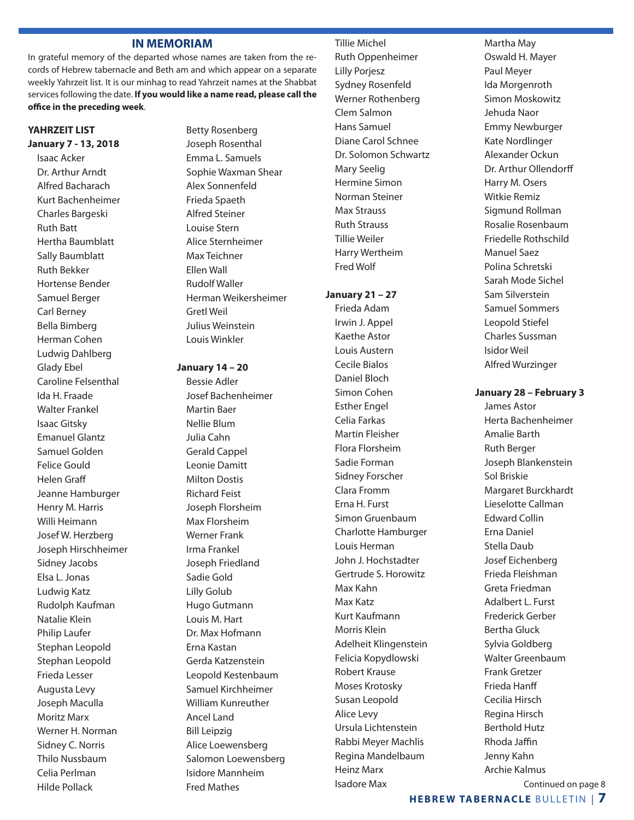#### **IN MEMORIAM**

In grateful memory of the departed whose names are taken from the records of Hebrew tabernacle and Beth am and which appear on a separate weekly Yahrzeit list. It is our minhag to read Yahrzeit names at the Shabbat services following the date. **If you would like a name read, please call the office in the preceding week**.

#### **YAHRZEIT LIST January 7 - 13, 2018**

Isaac Acker Dr. Arthur Arndt Alfred Bacharach Kurt Bachenheimer Charles Bargeski Ruth Batt Hertha Baumblatt Sally Baumblatt Ruth Bekker Hortense Bender Samuel Berger Carl Berney Bella Bimberg Herman Cohen Ludwig Dahlberg Glady Ebel Caroline Felsenthal Ida H. Fraade Walter Frankel Isaac Gitsky Emanuel Glantz Samuel Golden Felice Gould Helen Graff Jeanne Hamburger Henry M. Harris Willi Heimann Josef W. Herzberg Joseph Hirschheimer Sidney Jacobs Elsa L. Jonas Ludwig Katz Rudolph Kaufman Natalie Klein Philip Laufer Stephan Leopold Stephan Leopold Frieda Lesser Augusta Levy Joseph Maculla Moritz Marx Werner H. Norman Sidney C. Norris Thilo Nussbaum Celia Perlman Hilde Pollack

Betty Rosenberg Joseph Rosenthal Emma L. Samuels Sophie Waxman Shear Alex Sonnenfeld Frieda Spaeth Alfred Steiner Louise Stern Alice Sternheimer Max Teichner Ellen Wall Rudolf Waller Herman Weikersheimer Gretl Weil Julius Weinstein Louis Winkler

#### **January 14 – 20**

Bessie Adler Josef Bachenheimer Martin Baer Nellie Blum Julia Cahn Gerald Cappel Leonie Damitt Milton Dostis Richard Feist Joseph Florsheim Max Florsheim Werner Frank Irma Frankel Joseph Friedland Sadie Gold Lilly Golub Hugo Gutmann Louis M. Hart Dr. Max Hofmann Erna Kastan Gerda Katzenstein Leopold Kestenbaum Samuel Kirchheimer William Kunreuther Ancel Land Bill Leipzig Alice Loewensberg Salomon Loewensberg Isidore Mannheim Fred Mathes

Tillie Michel Ruth Oppenheimer Lilly Porjesz Sydney Rosenfeld Werner Rothenberg Clem Salmon Hans Samuel Diane Carol Schnee Dr. Solomon Schwartz Mary Seelig Hermine Simon Norman Steiner Max Strauss Ruth Strauss Tillie Weiler Harry Wertheim Fred Wolf

#### **January 21 – 27**

Frieda Adam Irwin J. Appel Kaethe Astor Louis Austern Cecile Bialos Daniel Bloch Simon Cohen Esther Engel Celia Farkas Martin Fleisher Flora Florsheim Sadie Forman Sidney Forscher Clara Fromm Erna H. Furst Simon Gruenbaum Charlotte Hamburger Louis Herman John J. Hochstadter Gertrude S. Horowitz Max Kahn Max Katz Kurt Kaufmann Morris Klein Adelheit Klingenstein Felicia Kopydlowski Robert Krause Moses Krotosky Susan Leopold Alice Levy Ursula Lichtenstein Rabbi Meyer Machlis Regina Mandelbaum Heinz Marx Isadore Max

Martha May Oswald H. Mayer Paul Meyer Ida Morgenroth Simon Moskowitz Jehuda Naor Emmy Newburger Kate Nordlinger Alexander Ockun Dr. Arthur Ollendorff Harry M. Osers Witkie Remiz Sigmund Rollman Rosalie Rosenbaum Friedelle Rothschild Manuel Saez Polina Schretski Sarah Mode Sichel Sam Silverstein Samuel Sommers Leopold Stiefel Charles Sussman Isidor Weil Alfred Wurzinger

#### **January 28 – February 3**

James Astor Herta Bachenheimer Amalie Barth Ruth Berger Joseph Blankenstein Sol Briskie Margaret Burckhardt Lieselotte Callman Edward Collin Erna Daniel Stella Daub Josef Eichenberg Frieda Fleishman Greta Friedman Adalbert L. Furst Frederick Gerber Bertha Gluck Sylvia Goldberg Walter Greenbaum Frank Gretzer Frieda Hanff Cecilia Hirsch Regina Hirsch Berthold Hutz Rhoda Jaffin Jenny Kahn Archie Kalmus Continued on page 8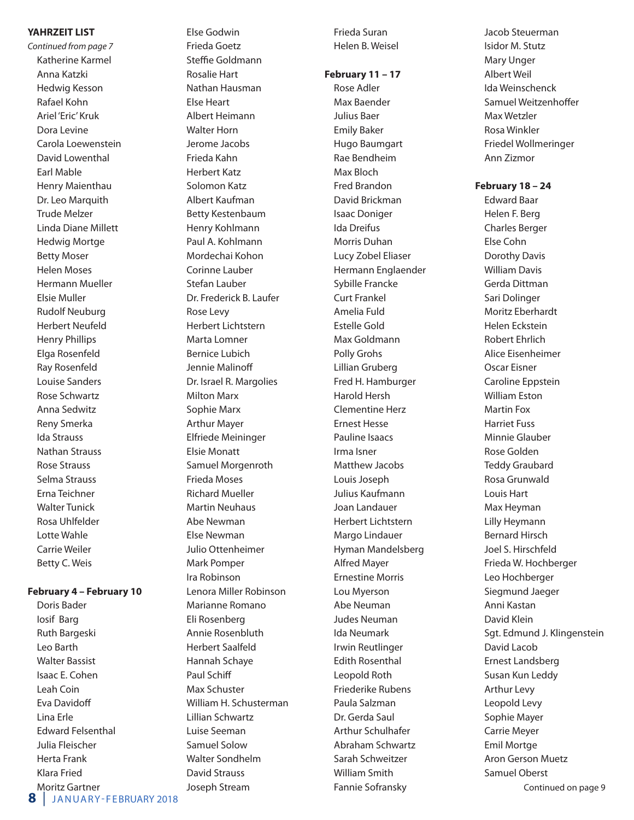#### **YAHRZEIT LIST**

*Continued from page 7* Katherine Karmel Anna Katzki Hedwig Kesson Rafael Kohn Ariel 'Eric' Kruk Dora Levine Carola Loewenstein David Lowenthal Earl Mable Henry Maienthau Dr. Leo Marquith Trude Melzer Linda Diane Millett Hedwig Mortge Betty Moser Helen Moses Hermann Mueller Elsie Muller Rudolf Neuburg Herbert Neufeld Henry Phillips Elga Rosenfeld Ray Rosenfeld Louise Sanders Rose Schwartz Anna Sedwitz Reny Smerka Ida Strauss Nathan Strauss Rose Strauss Selma Strauss Erna Teichner Walter Tunick Rosa Uhlfelder Lotte Wahle Carrie Weiler Betty C. Weis

#### **February 4 – February 10**

Doris Bader Iosif Barg Ruth Bargeski Leo Barth Walter Bassist Isaac E. Cohen Leah Coin Eva Davidoff Lina Erle Edward Felsenthal Julia Fleischer Herta Frank Klara Fried Moritz Gartner

Frieda Goetz Steffie Goldmann Rosalie Hart Nathan Hausman Else Heart Albert Heimann Walter Horn Jerome Jacobs Frieda Kahn Herbert Katz Solomon Katz Albert Kaufman Betty Kestenbaum Henry Kohlmann Paul A. Kohlmann Mordechai Kohon Corinne Lauber Stefan Lauber Dr. Frederick B. Laufer Rose Levy Herbert Lichtstern Marta Lomner Bernice Lubich Jennie Malinoff Dr. Israel R. Margolies Milton Marx Sophie Marx Arthur Mayer Elfriede Meininger Elsie Monatt Samuel Morgenroth Frieda Moses Richard Mueller Martin Neuhaus Abe Newman Else Newman Julio Ottenheimer Mark Pomper Ira Robinson Lenora Miller Robinson Marianne Romano Eli Rosenberg Annie Rosenbluth Herbert Saalfeld Hannah Schaye Paul Schiff Max Schuster William H. Schusterman Lillian Schwartz Luise Seeman Samuel Solow Walter Sondhelm David Strauss Joseph Stream

Else Godwin

Frieda Suran Helen B. Weisel

#### **February 11 – 17**

Rose Adler Max Baender Julius Baer Emily Baker Hugo Baumgart Rae Bendheim Max Bloch Fred Brandon David Brickman Isaac Doniger Ida Dreifus Morris Duhan Lucy Zobel Eliaser Hermann Englaender Sybille Francke Curt Frankel Amelia Fuld Estelle Gold Max Goldmann Polly Grohs Lillian Gruberg Fred H. Hamburger Harold Hersh Clementine Herz Ernest Hesse Pauline Isaacs Irma Isner Matthew Jacobs Louis Joseph Julius Kaufmann Joan Landauer Herbert Lichtstern Margo Lindauer Hyman Mandelsberg Alfred Mayer Ernestine Morris Lou Myerson Abe Neuman Judes Neuman Ida Neumark Irwin Reutlinger Edith Rosenthal Leopold Roth Friederike Rubens Paula Salzman Dr. Gerda Saul Arthur Schulhafer Abraham Schwartz Sarah Schweitzer William Smith Fannie Sofransky

Jacob Steuerman Isidor M. Stutz Mary Unger Albert Weil Ida Weinschenck Samuel Weitzenhoffer Max Wetzler Rosa Winkler Friedel Wollmeringer Ann Zizmor

#### **February 18 – 24**

Edward Baar Helen F. Berg Charles Berger Else Cohn Dorothy Davis William Davis Gerda Dittman Sari Dolinger Moritz Eberhardt Helen Eckstein Robert Ehrlich Alice Eisenheimer Oscar Eisner Caroline Eppstein William Eston Martin Fox Harriet Fuss Minnie Glauber Rose Golden Teddy Graubard Rosa Grunwald Louis Hart Max Heyman Lilly Heymann Bernard Hirsch Joel S. Hirschfeld Frieda W. Hochberger Leo Hochberger Siegmund Jaeger Anni Kastan David Klein Sgt. Edmund J. Klingenstein David Lacob Ernest Landsberg Susan Kun Leddy Arthur Levy Leopold Levy Sophie Mayer Carrie Meyer Emil Mortge Aron Gerson Muetz Samuel Oberst Continued on page 9

**8** JANUARY-FEBRUARY 2018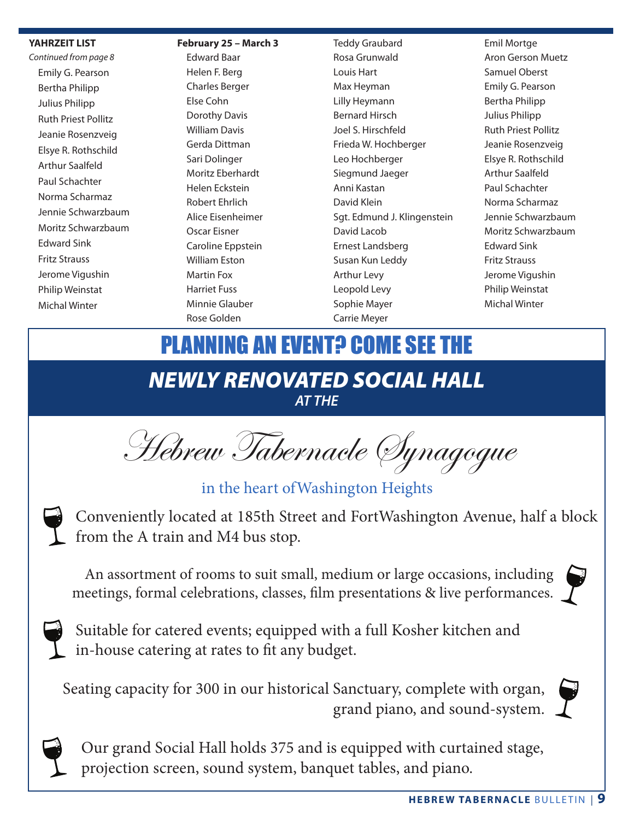#### **YAHRZEIT LIST**

*Continued from page 8* Emily G. Pearson Bertha Philipp Julius Philipp Ruth Priest Pollitz Jeanie Rosenzveig Elsye R. Rothschild Arthur Saalfeld Paul Schachter Norma Scharmaz Jennie Schwarzbaum Moritz Schwarzbaum Edward Sink Fritz Strauss Jerome Vigushin Philip Weinstat Michal Winter

#### **February 25 – March 3**

Edward Baar Helen F. Berg Charles Berger Else Cohn Dorothy Davis William Davis Gerda Dittman Sari Dolinger Moritz Eberhardt Helen Eckstein Robert Ehrlich Alice Eisenheimer Oscar Eisner Caroline Eppstein William Eston Martin Fox Harriet Fuss Minnie Glauber Rose Golden

Teddy Graubard Rosa Grunwald Louis Hart Max Heyman Lilly Heymann Bernard Hirsch Joel S. Hirschfeld Frieda W. Hochberger Leo Hochberger Siegmund Jaeger Anni Kastan David Klein Sgt. Edmund J. Klingenstein David Lacob Ernest Landsberg Susan Kun Leddy Arthur Levy Leopold Levy Sophie Mayer Carrie Meyer

Emil Mortge Aron Gerson Muetz Samuel Oberst Emily G. Pearson Bertha Philipp Julius Philipp Ruth Priest Pollitz Jeanie Rosenzveig Elsye R. Rothschild Arthur Saalfeld Paul Schachter Norma Scharmaz Jennie Schwarzbaum Moritz Schwarzbaum Edward Sink Fritz Strauss Jerome Vigushin Philip Weinstat Michal Winter

# *NEWLY RENOVATED SOCIAL HALL AT THE* **PLANNING AN EVENT? COME SEE THE**

Hebrew Tabernacle Synagogue

in the heart ofWashington Heights



Conveniently located at 185th Street and FortWashington Avenue, half a block from the A train and M4 bus stop.

An assortment of rooms to suit small, medium or large occasions, including meetings, formal celebrations, classes, film presentations & live performances.  $\int$ 



Suitable for catered events; equipped with a full Kosher kitchen and in-house catering at rates to fit any budget.

Seating capacity for 300 in our historical Sanctuary, complete with organ, grand piano, and sound-system.



Our grand Social Hall holds 375 and is equipped with curtained stage, projection screen, sound system, banquet tables, and piano.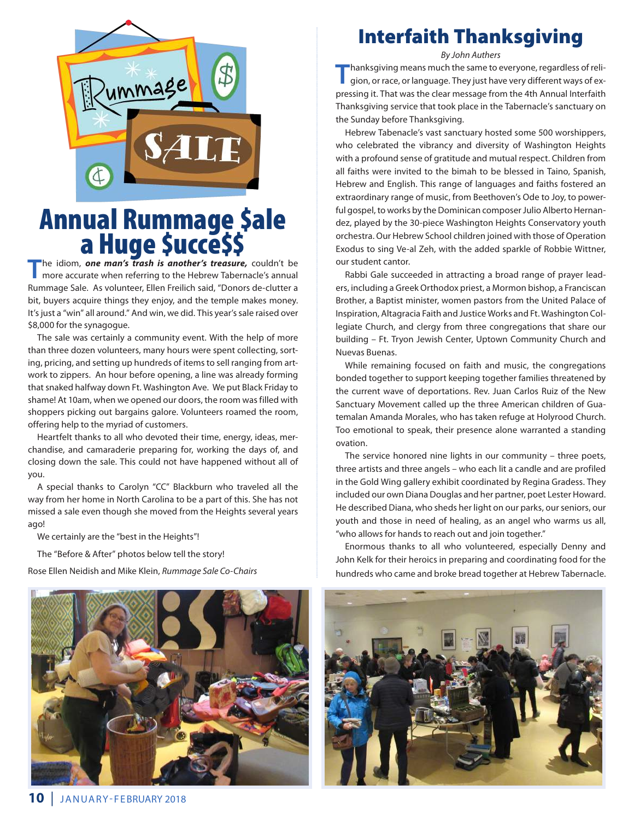

# Annual Rummage \$ale<br>a Huge \$ucce\$\$

**T**he idiom, *one man's trash is another's treasure,* couldn't be more accurate when referring to the Hebrew Tabernacle's annual Rummage Sale. As volunteer, Ellen Freilich said, "Donors de-clutter a bit, buyers acquire things they enjoy, and the temple makes money. It's just a "win" all around." And win, we did. This year's sale raised over \$8,000 for the synagogue.

The sale was certainly a community event. With the help of more than three dozen volunteers, many hours were spent collecting, sorting, pricing, and setting up hundreds of items to sell ranging from artwork to zippers. An hour before opening, a line was already forming that snaked halfway down Ft. Washington Ave. We put Black Friday to shame! At 10am, when we opened our doors, the room was filled with shoppers picking out bargains galore. Volunteers roamed the room, offering help to the myriad of customers.

Heartfelt thanks to all who devoted their time, energy, ideas, merchandise, and camaraderie preparing for, working the days of, and closing down the sale. This could not have happened without all of you.

A special thanks to Carolyn "CC" Blackburn who traveled all the way from her home in North Carolina to be a part of this. She has not missed a sale even though she moved from the Heights several years ago!

We certainly are the "best in the Heights"!

The "Before & After" photos below tell the story!

Rose Ellen Neidish and Mike Klein, *Rummage Sale Co-Chairs*

# Interfaith Thanksgiving

*By John Authers*

**T**hanksgiving means much the same to everyone, regardless of religion, or race, or language. They just have very different ways of expressing it. That was the clear message from the 4th Annual Interfaith Thanksgiving service that took place in the Tabernacle's sanctuary on the Sunday before Thanksgiving.

Hebrew Tabenacle's vast sanctuary hosted some 500 worshippers, who celebrated the vibrancy and diversity of Washington Heights with a profound sense of gratitude and mutual respect. Children from all faiths were invited to the bimah to be blessed in Taino, Spanish, Hebrew and English. This range of languages and faiths fostered an extraordinary range of music, from Beethoven's Ode to Joy, to powerful gospel, to works by the Dominican composer Julio Alberto Hernandez, played by the 30-piece Washington Heights Conservatory youth orchestra. Our Hebrew School children joined with those of Operation Exodus to sing Ve-al Zeh, with the added sparkle of Robbie Wittner, our student cantor.

Rabbi Gale succeeded in attracting a broad range of prayer leaders, including a Greek Orthodox priest, a Mormon bishop, a Franciscan Brother, a Baptist minister, women pastors from the United Palace of Inspiration, Altagracia Faith and Justice Works and Ft. Washington Collegiate Church, and clergy from three congregations that share our building – Ft. Tryon Jewish Center, Uptown Community Church and Nuevas Buenas.

While remaining focused on faith and music, the congregations bonded together to support keeping together families threatened by the current wave of deportations. Rev. Juan Carlos Ruiz of the New Sanctuary Movement called up the three American children of Guatemalan Amanda Morales, who has taken refuge at Holyrood Church. Too emotional to speak, their presence alone warranted a standing ovation.

The service honored nine lights in our community – three poets, three artists and three angels – who each lit a candle and are profiled in the Gold Wing gallery exhibit coordinated by Regina Gradess. They included our own Diana Douglas and her partner, poet Lester Howard. He described Diana, who sheds her light on our parks, our seniors, our youth and those in need of healing, as an angel who warms us all, "who allows for hands to reach out and join together."

Enormous thanks to all who volunteered, especially Denny and John Kelk for their heroics in preparing and coordinating food for the hundreds who came and broke bread together at Hebrew Tabernacle.

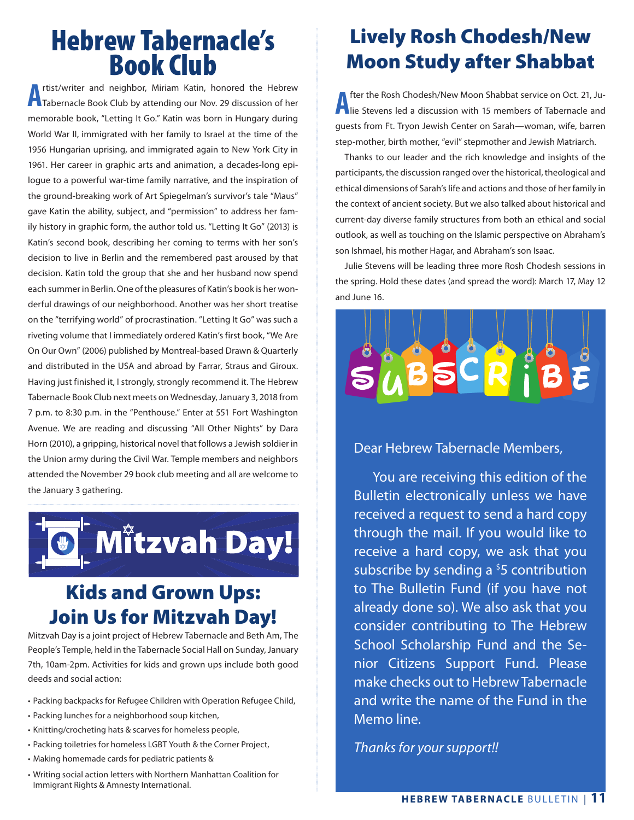# Hebrew Tabernacle's Book Club

**A** rtist/writer and neighbor, Miriam Katin, honored the Hebrew<br>Tabernacle Book Club by attending our Nov. 29 discussion of her rtist/writer and neighbor, Miriam Katin, honored the Hebrew memorable book, "Letting It Go." Katin was born in Hungary during World War II, immigrated with her family to Israel at the time of the 1956 Hungarian uprising, and immigrated again to New York City in 1961. Her career in graphic arts and animation, a decades-long epilogue to a powerful war-time family narrative, and the inspiration of the ground-breaking work of Art Spiegelman's survivor's tale "Maus" gave Katin the ability, subject, and "permission" to address her family history in graphic form, the author told us. "Letting It Go" (2013) is Katin's second book, describing her coming to terms with her son's decision to live in Berlin and the remembered past aroused by that decision. Katin told the group that she and her husband now spend each summer in Berlin. One of the pleasures of Katin's book is her wonderful drawings of our neighborhood. Another was her short treatise on the "terrifying world" of procrastination. "Letting It Go" was such a riveting volume that I immediately ordered Katin's first book, "We Are On Our Own" (2006) published by Montreal-based Drawn & Quarterly and distributed in the USA and abroad by Farrar, Straus and Giroux. Having just finished it, I strongly, strongly recommend it. The Hebrew Tabernacle Book Club next meets on Wednesday, January 3, 2018 from 7 p.m. to 8:30 p.m. in the "Penthouse." Enter at 551 Fort Washington Avenue. We are reading and discussing "All Other Nights" by Dara Horn (2010), a gripping, historical novel that follows a Jewish soldier in the Union army during the Civil War. Temple members and neighbors attended the November 29 book club meeting and all are welcome to the January 3 gathering.



# Kids and Grown Ups: Join Us for Mitzvah Day!

Mitzvah Day is a joint project of Hebrew Tabernacle and Beth Am, The People's Temple, held in the Tabernacle Social Hall on Sunday, January 7th, 10am-2pm. Activities for kids and grown ups include both good deeds and social action:

- Packing backpacks for Refugee Children with Operation Refugee Child,
- Packing lunches for a neighborhood soup kitchen,
- • Knitting/crocheting hats & scarves for homeless people,
- • Packing toiletries for homeless LGBT Youth & the Corner Project,
- • Making homemade cards for pediatric patients &
- • Writing social action letters with Northern Manhattan Coalition for Immigrant Rights & Amnesty International.

# Lively Rosh Chodesh/New Moon Study after Shabbat

**A** fter the Rosh Chodesh/New Moon Shabbat service on Oct. 21, Ju-<br>lie Stevens led a discussion with 15 members of Tabernacle and fter the Rosh Chodesh/New Moon Shabbat service on Oct. 21, Juguests from Ft. Tryon Jewish Center on Sarah—woman, wife, barren step-mother, birth mother, "evil" stepmother and Jewish Matriarch.

Thanks to our leader and the rich knowledge and insights of the participants, the discussion ranged over the historical, theological and ethical dimensions of Sarah's life and actions and those of her family in the context of ancient society. But we also talked about historical and current-day diverse family structures from both an ethical and social outlook, as well as touching on the Islamic perspective on Abraham's son Ishmael, his mother Hagar, and Abraham's son Isaac.

Julie Stevens will be leading three more Rosh Chodesh sessions in the spring. Hold these dates (and spread the word): March 17, May 12 and June 16.



#### Dear Hebrew Tabernacle Members,

You are receiving this edition of the Bulletin electronically unless we have received a request to send a hard copy through the mail. If you would like to receive a hard copy, we ask that you subscribe by sending a  $5$  contribution to The Bulletin Fund (if you have not already done so). We also ask that you consider contributing to The Hebrew School Scholarship Fund and the Senior Citizens Support Fund. Please make checks out to Hebrew Tabernacle and write the name of the Fund in the Memo line.

*Thanks for your support!!*